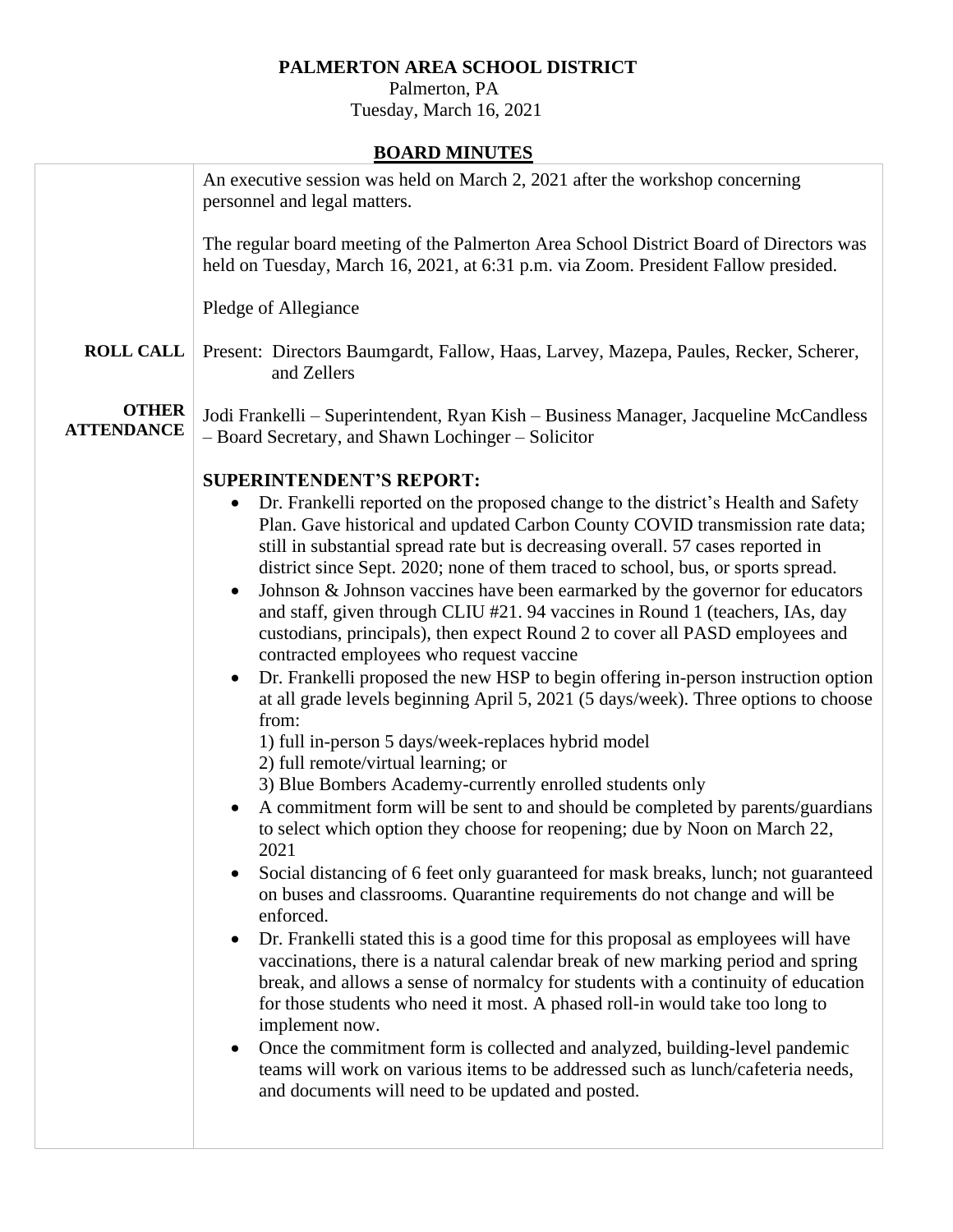## **PALMERTON AREA SCHOOL DISTRICT**

 Palmerton, PA Tuesday, March 16, 2021

# **BOARD MINUTES**

|                                   | $501112$ $11111$ $0110$                                                                                                                                                                                                                                                                                                                                                                                                                                                                                                                                                                                                                                                                                                                                                                                                                                                     |
|-----------------------------------|-----------------------------------------------------------------------------------------------------------------------------------------------------------------------------------------------------------------------------------------------------------------------------------------------------------------------------------------------------------------------------------------------------------------------------------------------------------------------------------------------------------------------------------------------------------------------------------------------------------------------------------------------------------------------------------------------------------------------------------------------------------------------------------------------------------------------------------------------------------------------------|
|                                   | An executive session was held on March 2, 2021 after the workshop concerning<br>personnel and legal matters.                                                                                                                                                                                                                                                                                                                                                                                                                                                                                                                                                                                                                                                                                                                                                                |
|                                   | The regular board meeting of the Palmerton Area School District Board of Directors was<br>held on Tuesday, March 16, 2021, at 6:31 p.m. via Zoom. President Fallow presided.                                                                                                                                                                                                                                                                                                                                                                                                                                                                                                                                                                                                                                                                                                |
|                                   | Pledge of Allegiance                                                                                                                                                                                                                                                                                                                                                                                                                                                                                                                                                                                                                                                                                                                                                                                                                                                        |
| <b>ROLL CALL</b>                  | Present: Directors Baumgardt, Fallow, Haas, Larvey, Mazepa, Paules, Recker, Scherer,<br>and Zellers                                                                                                                                                                                                                                                                                                                                                                                                                                                                                                                                                                                                                                                                                                                                                                         |
| <b>OTHER</b><br><b>ATTENDANCE</b> | Jodi Frankelli – Superintendent, Ryan Kish – Business Manager, Jacqueline McCandless<br>- Board Secretary, and Shawn Lochinger - Solicitor                                                                                                                                                                                                                                                                                                                                                                                                                                                                                                                                                                                                                                                                                                                                  |
|                                   |                                                                                                                                                                                                                                                                                                                                                                                                                                                                                                                                                                                                                                                                                                                                                                                                                                                                             |
|                                   | <b>SUPERINTENDENT'S REPORT:</b><br>Dr. Frankelli reported on the proposed change to the district's Health and Safety<br>Plan. Gave historical and updated Carbon County COVID transmission rate data;<br>still in substantial spread rate but is decreasing overall. 57 cases reported in<br>district since Sept. 2020; none of them traced to school, bus, or sports spread.<br>Johnson & Johnson vaccines have been earmarked by the governor for educators<br>and staff, given through CLIU #21. 94 vaccines in Round 1 (teachers, IAs, day<br>custodians, principals), then expect Round 2 to cover all PASD employees and<br>contracted employees who request vaccine<br>Dr. Frankelli proposed the new HSP to begin offering in-person instruction option<br>$\bullet$<br>at all grade levels beginning April 5, 2021 (5 days/week). Three options to choose<br>from: |
|                                   | 1) full in-person 5 days/week-replaces hybrid model                                                                                                                                                                                                                                                                                                                                                                                                                                                                                                                                                                                                                                                                                                                                                                                                                         |
|                                   | 2) full remote/virtual learning; or<br>3) Blue Bombers Academy-currently enrolled students only                                                                                                                                                                                                                                                                                                                                                                                                                                                                                                                                                                                                                                                                                                                                                                             |
|                                   | A commitment form will be sent to and should be completed by parents/guardians                                                                                                                                                                                                                                                                                                                                                                                                                                                                                                                                                                                                                                                                                                                                                                                              |
|                                   | to select which option they choose for reopening; due by Noon on March 22,<br>2021                                                                                                                                                                                                                                                                                                                                                                                                                                                                                                                                                                                                                                                                                                                                                                                          |
|                                   | Social distancing of 6 feet only guaranteed for mask breaks, lunch; not guaranteed<br>on buses and classrooms. Quarantine requirements do not change and will be<br>enforced.                                                                                                                                                                                                                                                                                                                                                                                                                                                                                                                                                                                                                                                                                               |
|                                   | Dr. Frankelli stated this is a good time for this proposal as employees will have<br>$\bullet$<br>vaccinations, there is a natural calendar break of new marking period and spring<br>break, and allows a sense of normalcy for students with a continuity of education<br>for those students who need it most. A phased roll-in would take too long to<br>implement now.                                                                                                                                                                                                                                                                                                                                                                                                                                                                                                   |
|                                   | Once the commitment form is collected and analyzed, building-level pandemic<br>teams will work on various items to be addressed such as lunch/cafeteria needs,<br>and documents will need to be updated and posted.                                                                                                                                                                                                                                                                                                                                                                                                                                                                                                                                                                                                                                                         |
|                                   |                                                                                                                                                                                                                                                                                                                                                                                                                                                                                                                                                                                                                                                                                                                                                                                                                                                                             |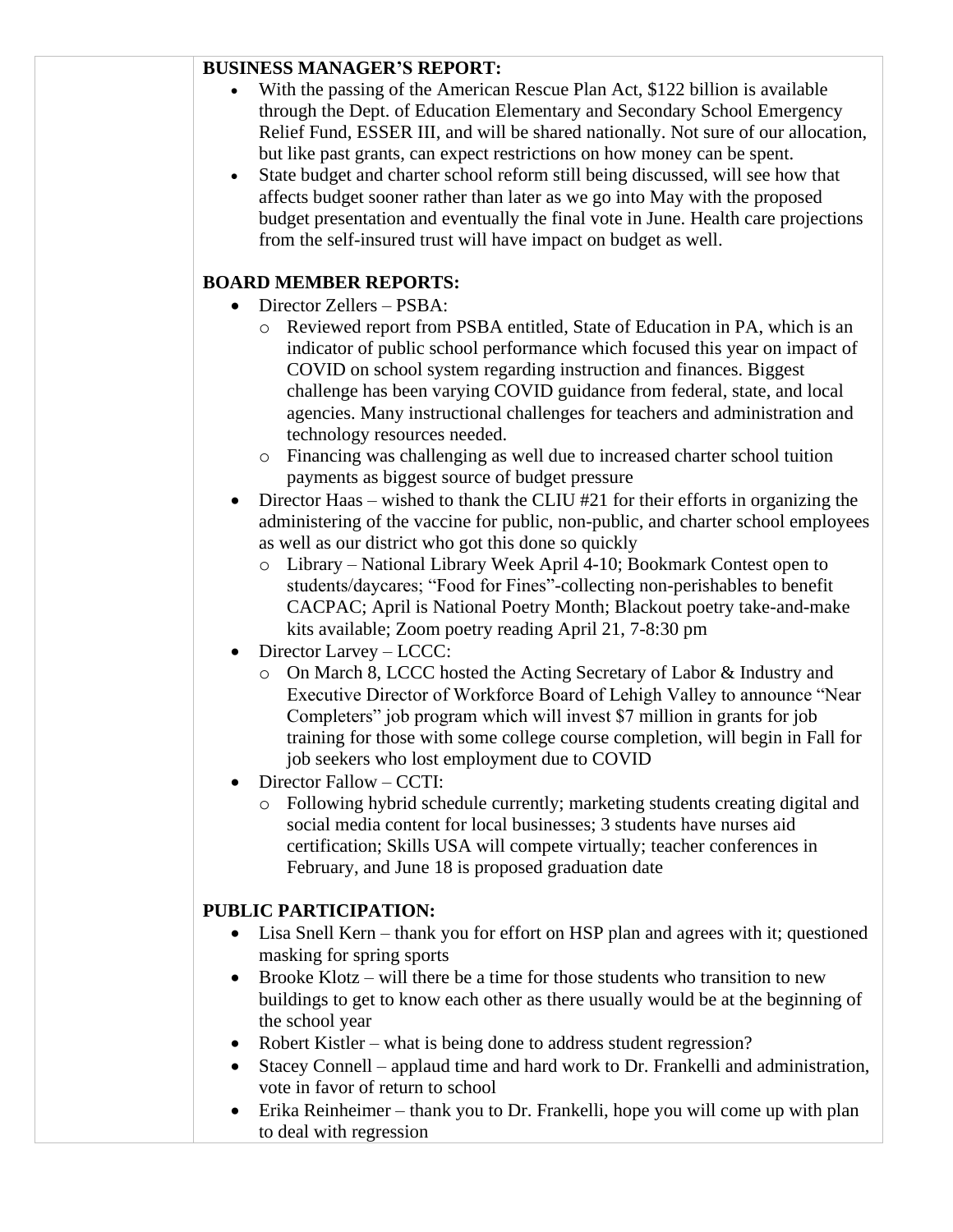### **BUSINESS MANAGER'S REPORT:**

- With the passing of the American Rescue Plan Act, \$122 billion is available through the Dept. of Education Elementary and Secondary School Emergency Relief Fund, ESSER III, and will be shared nationally. Not sure of our allocation, but like past grants, can expect restrictions on how money can be spent.
- State budget and charter school reform still being discussed, will see how that affects budget sooner rather than later as we go into May with the proposed budget presentation and eventually the final vote in June. Health care projections from the self-insured trust will have impact on budget as well.

### **BOARD MEMBER REPORTS:**

- Director Zellers PSBA:
	- o Reviewed report from PSBA entitled, State of Education in PA, which is an indicator of public school performance which focused this year on impact of COVID on school system regarding instruction and finances. Biggest challenge has been varying COVID guidance from federal, state, and local agencies. Many instructional challenges for teachers and administration and technology resources needed.
	- o Financing was challenging as well due to increased charter school tuition payments as biggest source of budget pressure
- Director Haas wished to thank the CLIU #21 for their efforts in organizing the administering of the vaccine for public, non-public, and charter school employees as well as our district who got this done so quickly
	- o Library National Library Week April 4-10; Bookmark Contest open to students/daycares; "Food for Fines"-collecting non-perishables to benefit CACPAC; April is National Poetry Month; Blackout poetry take-and-make kits available; Zoom poetry reading April 21, 7-8:30 pm
- Director Larvey LCCC:
	- o On March 8, LCCC hosted the Acting Secretary of Labor & Industry and Executive Director of Workforce Board of Lehigh Valley to announce "Near Completers" job program which will invest \$7 million in grants for job training for those with some college course completion, will begin in Fall for job seekers who lost employment due to COVID
- Director Fallow CCTI:
	- o Following hybrid schedule currently; marketing students creating digital and social media content for local businesses; 3 students have nurses aid certification; Skills USA will compete virtually; teacher conferences in February, and June 18 is proposed graduation date

#### **PUBLIC PARTICIPATION:**

- Lisa Snell Kern thank you for effort on HSP plan and agrees with it; questioned masking for spring sports
- Brooke Klotz will there be a time for those students who transition to new buildings to get to know each other as there usually would be at the beginning of the school year
- Robert Kistler what is being done to address student regression?
- Stacey Connell applaud time and hard work to Dr. Frankelli and administration, vote in favor of return to school
- Erika Reinheimer thank you to Dr. Frankelli, hope you will come up with plan to deal with regression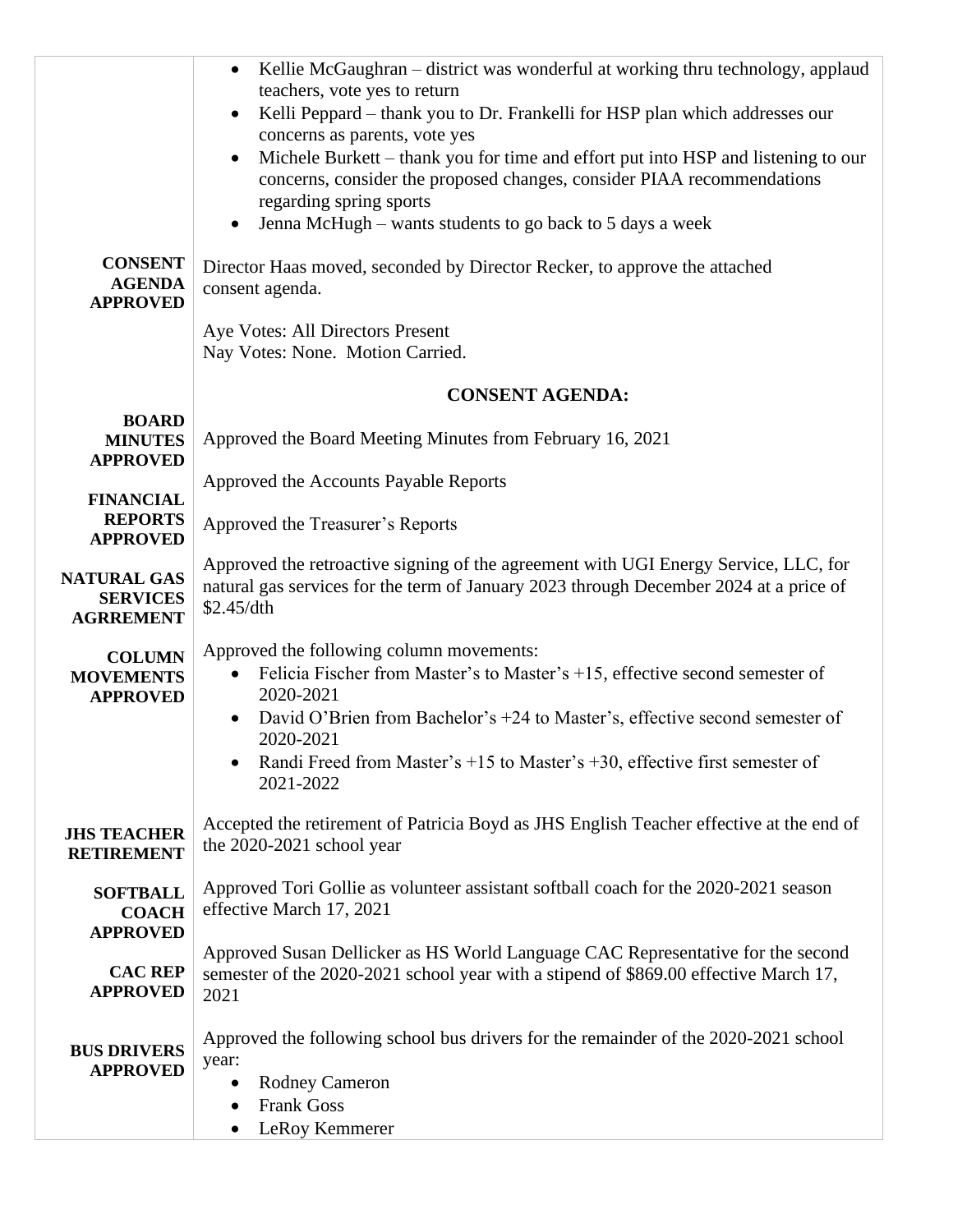| <b>CONSENT</b><br><b>AGENDA</b><br><b>APPROVED</b>        | Kellie McGaughran - district was wonderful at working thru technology, applaud<br>٠<br>teachers, vote yes to return<br>Kelli Peppard - thank you to Dr. Frankelli for HSP plan which addresses our<br>concerns as parents, vote yes<br>Michele Burkett – thank you for time and effort put into HSP and listening to our<br>concerns, consider the proposed changes, consider PIAA recommendations<br>regarding spring sports<br>Jenna McHugh - wants students to go back to 5 days a week<br>$\bullet$<br>Director Haas moved, seconded by Director Recker, to approve the attached<br>consent agenda.<br>Aye Votes: All Directors Present<br>Nay Votes: None. Motion Carried. |
|-----------------------------------------------------------|---------------------------------------------------------------------------------------------------------------------------------------------------------------------------------------------------------------------------------------------------------------------------------------------------------------------------------------------------------------------------------------------------------------------------------------------------------------------------------------------------------------------------------------------------------------------------------------------------------------------------------------------------------------------------------|
|                                                           |                                                                                                                                                                                                                                                                                                                                                                                                                                                                                                                                                                                                                                                                                 |
| <b>BOARD</b>                                              | <b>CONSENT AGENDA:</b>                                                                                                                                                                                                                                                                                                                                                                                                                                                                                                                                                                                                                                                          |
| <b>MINUTES</b><br><b>APPROVED</b>                         | Approved the Board Meeting Minutes from February 16, 2021                                                                                                                                                                                                                                                                                                                                                                                                                                                                                                                                                                                                                       |
| <b>FINANCIAL</b>                                          | Approved the Accounts Payable Reports                                                                                                                                                                                                                                                                                                                                                                                                                                                                                                                                                                                                                                           |
| <b>REPORTS</b><br><b>APPROVED</b>                         | Approved the Treasurer's Reports                                                                                                                                                                                                                                                                                                                                                                                                                                                                                                                                                                                                                                                |
| <b>NATURAL GAS</b><br><b>SERVICES</b><br><b>AGRREMENT</b> | Approved the retroactive signing of the agreement with UGI Energy Service, LLC, for<br>natural gas services for the term of January 2023 through December 2024 at a price of<br>\$2.45/dth                                                                                                                                                                                                                                                                                                                                                                                                                                                                                      |
| <b>COLUMN</b><br><b>MOVEMENTS</b><br><b>APPROVED</b>      | Approved the following column movements:<br>Felicia Fischer from Master's to Master's +15, effective second semester of<br>2020-2021<br>David O'Brien from Bachelor's +24 to Master's, effective second semester of<br>2020-2021<br>Randi Freed from Master's $+15$ to Master's $+30$ , effective first semester of<br>2021-2022                                                                                                                                                                                                                                                                                                                                                |
| <b>JHS TEACHER</b><br><b>RETIREMENT</b>                   | Accepted the retirement of Patricia Boyd as JHS English Teacher effective at the end of<br>the 2020-2021 school year                                                                                                                                                                                                                                                                                                                                                                                                                                                                                                                                                            |
| <b>SOFTBALL</b><br><b>COACH</b><br><b>APPROVED</b>        | Approved Tori Gollie as volunteer assistant softball coach for the 2020-2021 season<br>effective March 17, 2021                                                                                                                                                                                                                                                                                                                                                                                                                                                                                                                                                                 |
| <b>CAC REP</b><br><b>APPROVED</b>                         | Approved Susan Dellicker as HS World Language CAC Representative for the second<br>semester of the 2020-2021 school year with a stipend of \$869.00 effective March 17,<br>2021                                                                                                                                                                                                                                                                                                                                                                                                                                                                                                 |
| <b>BUS DRIVERS</b><br><b>APPROVED</b>                     | Approved the following school bus drivers for the remainder of the 2020-2021 school<br>year:<br><b>Rodney Cameron</b><br>٠<br><b>Frank Goss</b><br>$\bullet$                                                                                                                                                                                                                                                                                                                                                                                                                                                                                                                    |
|                                                           | LeRoy Kemmerer                                                                                                                                                                                                                                                                                                                                                                                                                                                                                                                                                                                                                                                                  |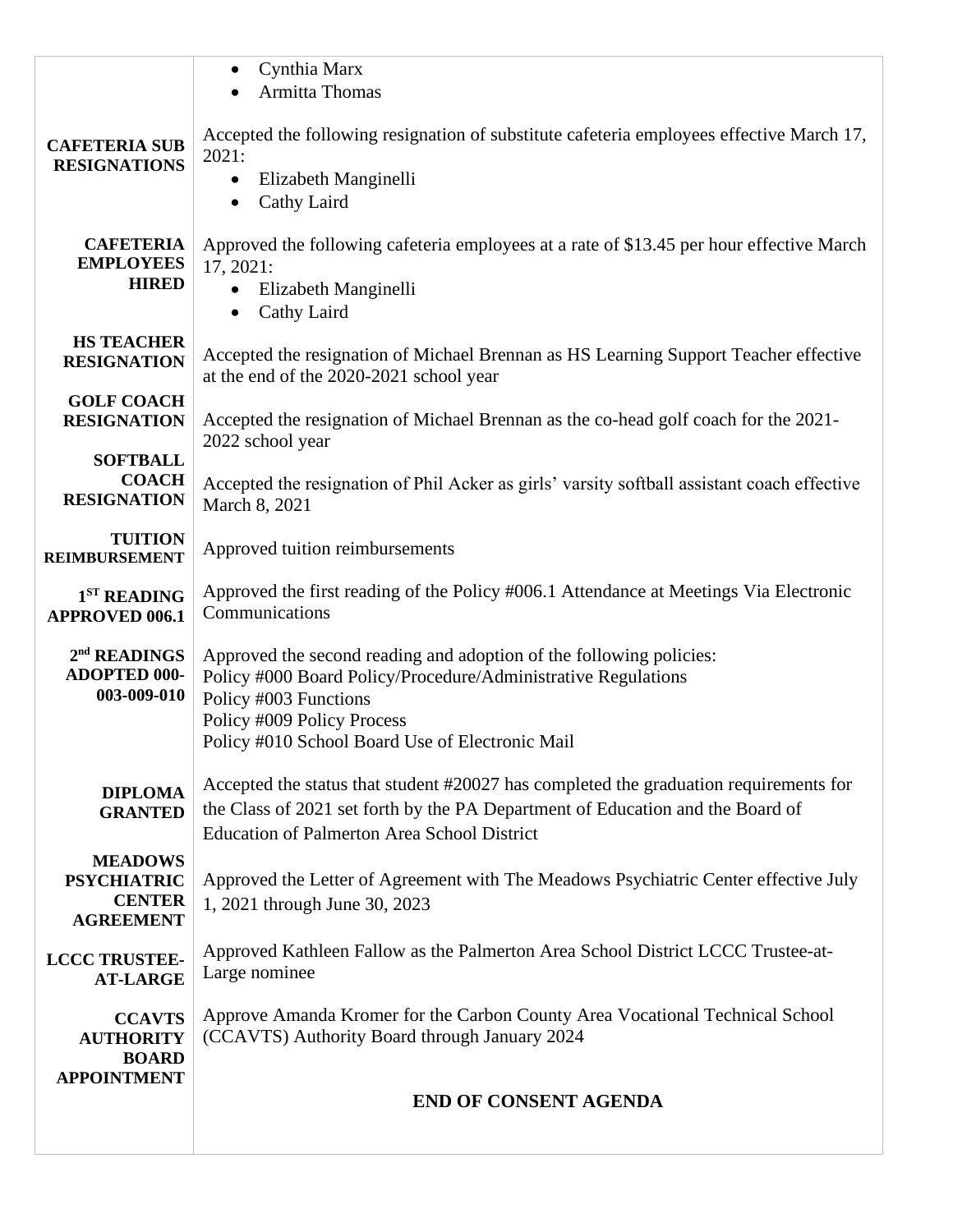|                                                                           | Cynthia Marx<br>$\bullet$                                                                                                                                                                                                                      |
|---------------------------------------------------------------------------|------------------------------------------------------------------------------------------------------------------------------------------------------------------------------------------------------------------------------------------------|
|                                                                           | <b>Armitta Thomas</b>                                                                                                                                                                                                                          |
| <b>CAFETERIA SUB</b><br><b>RESIGNATIONS</b>                               | Accepted the following resignation of substitute cafeteria employees effective March 17,<br>2021:<br>Elizabeth Manginelli<br>$\bullet$<br>Cathy Laird<br>$\bullet$                                                                             |
| <b>CAFETERIA</b><br><b>EMPLOYEES</b><br><b>HIRED</b>                      | Approved the following cafeteria employees at a rate of \$13.45 per hour effective March<br>17, 2021:<br>Elizabeth Manginelli<br>$\bullet$<br>Cathy Laird<br>$\bullet$                                                                         |
| <b>HS TEACHER</b><br><b>RESIGNATION</b>                                   | Accepted the resignation of Michael Brennan as HS Learning Support Teacher effective<br>at the end of the 2020-2021 school year                                                                                                                |
| <b>GOLF COACH</b><br><b>RESIGNATION</b>                                   | Accepted the resignation of Michael Brennan as the co-head golf coach for the 2021-<br>2022 school year                                                                                                                                        |
| <b>SOFTBALL</b><br><b>COACH</b><br><b>RESIGNATION</b>                     | Accepted the resignation of Phil Acker as girls' varsity softball assistant coach effective<br>March 8, 2021                                                                                                                                   |
| <b>TUITION</b><br><b>REIMBURSEMENT</b>                                    | Approved tuition reimbursements                                                                                                                                                                                                                |
| 1 <sup>ST</sup> READING<br><b>APPROVED 006.1</b>                          | Approved the first reading of the Policy #006.1 Attendance at Meetings Via Electronic<br>Communications                                                                                                                                        |
| 2 <sup>nd</sup> READINGS<br><b>ADOPTED 000-</b><br>003-009-010            | Approved the second reading and adoption of the following policies:<br>Policy #000 Board Policy/Procedure/Administrative Regulations<br>Policy #003 Functions<br>Policy #009 Policy Process<br>Policy #010 School Board Use of Electronic Mail |
| <b>DIPLOMA</b><br><b>GRANTED</b>                                          | Accepted the status that student #20027 has completed the graduation requirements for<br>the Class of 2021 set forth by the PA Department of Education and the Board of<br><b>Education of Palmerton Area School District</b>                  |
| <b>MEADOWS</b><br><b>PSYCHIATRIC</b><br><b>CENTER</b><br><b>AGREEMENT</b> | Approved the Letter of Agreement with The Meadows Psychiatric Center effective July<br>1, 2021 through June 30, 2023                                                                                                                           |
| <b>LCCC TRUSTEE-</b><br><b>AT-LARGE</b>                                   | Approved Kathleen Fallow as the Palmerton Area School District LCCC Trustee-at-<br>Large nominee                                                                                                                                               |
| <b>CCAVTS</b><br><b>AUTHORITY</b><br><b>BOARD</b><br><b>APPOINTMENT</b>   | Approve Amanda Kromer for the Carbon County Area Vocational Technical School<br>(CCAVTS) Authority Board through January 2024                                                                                                                  |
|                                                                           | <b>END OF CONSENT AGENDA</b>                                                                                                                                                                                                                   |